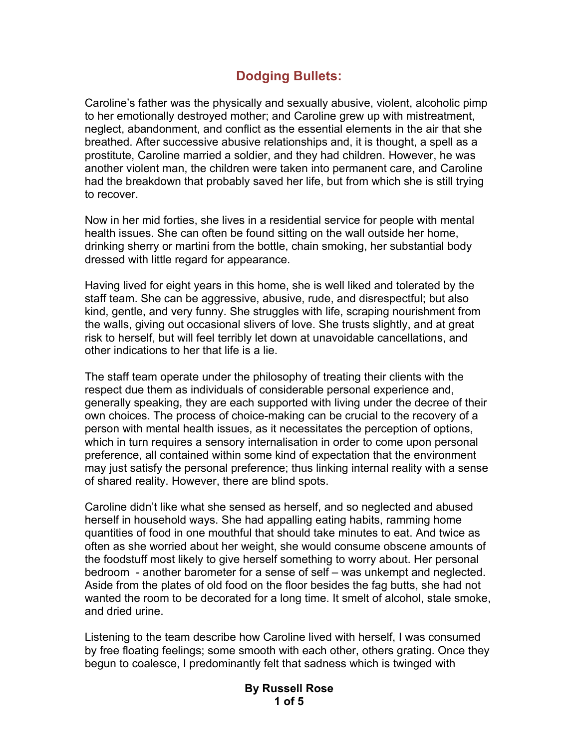## **Dodging Bullets:**

Caroline's father was the physically and sexually abusive, violent, alcoholic pimp to her emotionally destroyed mother; and Caroline grew up with mistreatment, neglect, abandonment, and conflict as the essential elements in the air that she breathed. After successive abusive relationships and, it is thought, a spell as a prostitute, Caroline married a soldier, and they had children. However, he was another violent man, the children were taken into permanent care, and Caroline had the breakdown that probably saved her life, but from which she is still trying to recover.

Now in her mid forties, she lives in a residential service for people with mental health issues. She can often be found sitting on the wall outside her home, drinking sherry or martini from the bottle, chain smoking, her substantial body dressed with little regard for appearance.

Having lived for eight years in this home, she is well liked and tolerated by the staff team. She can be aggressive, abusive, rude, and disrespectful; but also kind, gentle, and very funny. She struggles with life, scraping nourishment from the walls, giving out occasional slivers of love. She trusts slightly, and at great risk to herself, but will feel terribly let down at unavoidable cancellations, and other indications to her that life is a lie.

The staff team operate under the philosophy of treating their clients with the respect due them as individuals of considerable personal experience and, generally speaking, they are each supported with living under the decree of their own choices. The process of choice-making can be crucial to the recovery of a person with mental health issues, as it necessitates the perception of options, which in turn requires a sensory internalisation in order to come upon personal preference, all contained within some kind of expectation that the environment may just satisfy the personal preference; thus linking internal reality with a sense of shared reality. However, there are blind spots.

Caroline didn't like what she sensed as herself, and so neglected and abused herself in household ways. She had appalling eating habits, ramming home quantities of food in one mouthful that should take minutes to eat. And twice as often as she worried about her weight, she would consume obscene amounts of the foodstuff most likely to give herself something to worry about. Her personal bedroom - another barometer for a sense of self – was unkempt and neglected. Aside from the plates of old food on the floor besides the fag butts, she had not wanted the room to be decorated for a long time. It smelt of alcohol, stale smoke, and dried urine.

Listening to the team describe how Caroline lived with herself, I was consumed by free floating feelings; some smooth with each other, others grating. Once they begun to coalesce, I predominantly felt that sadness which is twinged with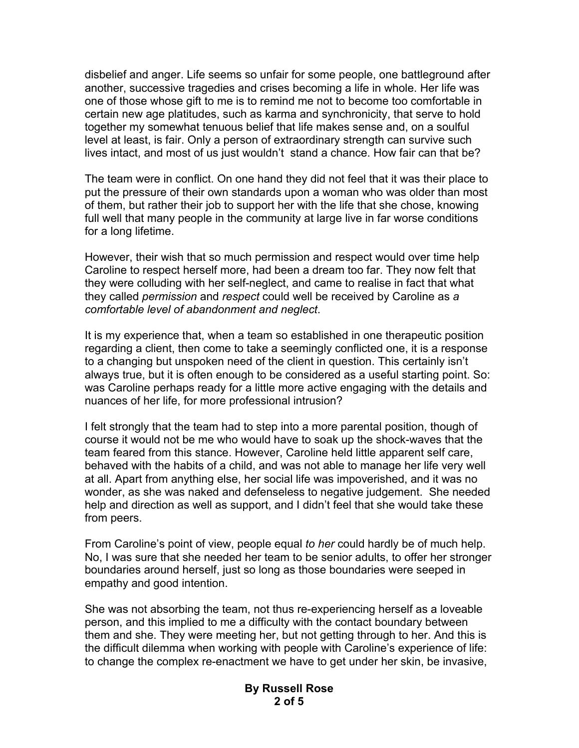disbelief and anger. Life seems so unfair for some people, one battleground after another, successive tragedies and crises becoming a life in whole. Her life was one of those whose gift to me is to remind me not to become too comfortable in certain new age platitudes, such as karma and synchronicity, that serve to hold together my somewhat tenuous belief that life makes sense and, on a soulful level at least, is fair. Only a person of extraordinary strength can survive such lives intact, and most of us just wouldn't stand a chance. How fair can that be?

The team were in conflict. On one hand they did not feel that it was their place to put the pressure of their own standards upon a woman who was older than most of them, but rather their job to support her with the life that she chose, knowing full well that many people in the community at large live in far worse conditions for a long lifetime.

However, their wish that so much permission and respect would over time help Caroline to respect herself more, had been a dream too far. They now felt that they were colluding with her self-neglect, and came to realise in fact that what they called *permission* and *respect* could well be received by Caroline as *a comfortable level of abandonment and neglect*.

It is my experience that, when a team so established in one therapeutic position regarding a client, then come to take a seemingly conflicted one, it is a response to a changing but unspoken need of the client in question. This certainly isn't always true, but it is often enough to be considered as a useful starting point. So: was Caroline perhaps ready for a little more active engaging with the details and nuances of her life, for more professional intrusion?

I felt strongly that the team had to step into a more parental position, though of course it would not be me who would have to soak up the shock-waves that the team feared from this stance. However, Caroline held little apparent self care, behaved with the habits of a child, and was not able to manage her life very well at all. Apart from anything else, her social life was impoverished, and it was no wonder, as she was naked and defenseless to negative judgement. She needed help and direction as well as support, and I didn't feel that she would take these from peers.

From Caroline's point of view, people equal *to her* could hardly be of much help. No, I was sure that she needed her team to be senior adults, to offer her stronger boundaries around herself, just so long as those boundaries were seeped in empathy and good intention.

She was not absorbing the team, not thus re-experiencing herself as a loveable person, and this implied to me a difficulty with the contact boundary between them and she. They were meeting her, but not getting through to her. And this is the difficult dilemma when working with people with Caroline's experience of life: to change the complex re-enactment we have to get under her skin, be invasive,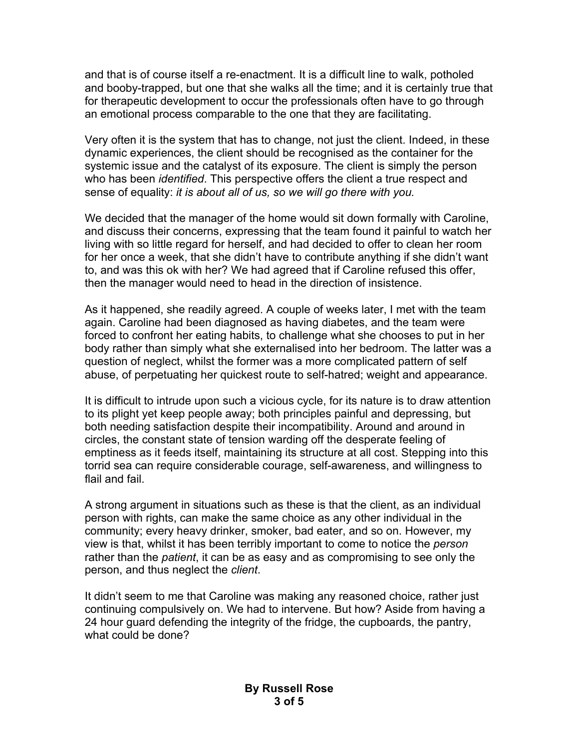and that is of course itself a re-enactment. It is a difficult line to walk, potholed and booby-trapped, but one that she walks all the time; and it is certainly true that for therapeutic development to occur the professionals often have to go through an emotional process comparable to the one that they are facilitating.

Very often it is the system that has to change, not just the client. Indeed, in these dynamic experiences, the client should be recognised as the container for the systemic issue and the catalyst of its exposure. The client is simply the person who has been *identified*. This perspective offers the client a true respect and sense of equality: *it is about all of us, so we will go there with you.*

We decided that the manager of the home would sit down formally with Caroline, and discuss their concerns, expressing that the team found it painful to watch her living with so little regard for herself, and had decided to offer to clean her room for her once a week, that she didn't have to contribute anything if she didn't want to, and was this ok with her? We had agreed that if Caroline refused this offer, then the manager would need to head in the direction of insistence.

As it happened, she readily agreed. A couple of weeks later, I met with the team again. Caroline had been diagnosed as having diabetes, and the team were forced to confront her eating habits, to challenge what she chooses to put in her body rather than simply what she externalised into her bedroom. The latter was a question of neglect, whilst the former was a more complicated pattern of self abuse, of perpetuating her quickest route to self-hatred; weight and appearance.

It is difficult to intrude upon such a vicious cycle, for its nature is to draw attention to its plight yet keep people away; both principles painful and depressing, but both needing satisfaction despite their incompatibility. Around and around in circles, the constant state of tension warding off the desperate feeling of emptiness as it feeds itself, maintaining its structure at all cost. Stepping into this torrid sea can require considerable courage, self-awareness, and willingness to flail and fail.

A strong argument in situations such as these is that the client, as an individual person with rights, can make the same choice as any other individual in the community; every heavy drinker, smoker, bad eater, and so on. However, my view is that, whilst it has been terribly important to come to notice the *person* rather than the *patient*, it can be as easy and as compromising to see only the person, and thus neglect the *client*.

It didn't seem to me that Caroline was making any reasoned choice, rather just continuing compulsively on. We had to intervene. But how? Aside from having a 24 hour guard defending the integrity of the fridge, the cupboards, the pantry, what could be done?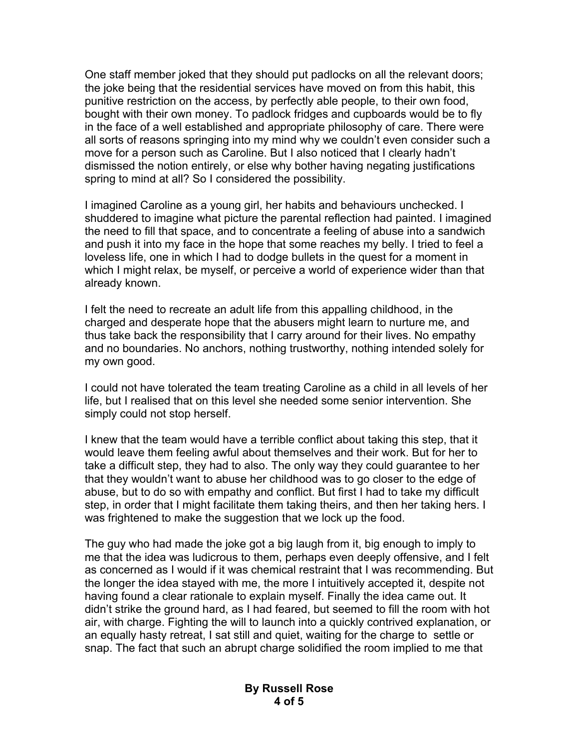One staff member joked that they should put padlocks on all the relevant doors; the joke being that the residential services have moved on from this habit, this punitive restriction on the access, by perfectly able people, to their own food, bought with their own money. To padlock fridges and cupboards would be to fly in the face of a well established and appropriate philosophy of care. There were all sorts of reasons springing into my mind why we couldn't even consider such a move for a person such as Caroline. But I also noticed that I clearly hadn't dismissed the notion entirely, or else why bother having negating justifications spring to mind at all? So I considered the possibility.

I imagined Caroline as a young girl, her habits and behaviours unchecked. I shuddered to imagine what picture the parental reflection had painted. I imagined the need to fill that space, and to concentrate a feeling of abuse into a sandwich and push it into my face in the hope that some reaches my belly. I tried to feel a loveless life, one in which I had to dodge bullets in the quest for a moment in which I might relax, be myself, or perceive a world of experience wider than that already known.

I felt the need to recreate an adult life from this appalling childhood, in the charged and desperate hope that the abusers might learn to nurture me, and thus take back the responsibility that I carry around for their lives. No empathy and no boundaries. No anchors, nothing trustworthy, nothing intended solely for my own good.

I could not have tolerated the team treating Caroline as a child in all levels of her life, but I realised that on this level she needed some senior intervention. She simply could not stop herself.

I knew that the team would have a terrible conflict about taking this step, that it would leave them feeling awful about themselves and their work. But for her to take a difficult step, they had to also. The only way they could guarantee to her that they wouldn't want to abuse her childhood was to go closer to the edge of abuse, but to do so with empathy and conflict. But first I had to take my difficult step, in order that I might facilitate them taking theirs, and then her taking hers. I was frightened to make the suggestion that we lock up the food.

The guy who had made the joke got a big laugh from it, big enough to imply to me that the idea was ludicrous to them, perhaps even deeply offensive, and I felt as concerned as I would if it was chemical restraint that I was recommending. But the longer the idea stayed with me, the more I intuitively accepted it, despite not having found a clear rationale to explain myself. Finally the idea came out. It didn't strike the ground hard, as I had feared, but seemed to fill the room with hot air, with charge. Fighting the will to launch into a quickly contrived explanation, or an equally hasty retreat, I sat still and quiet, waiting for the charge to settle or snap. The fact that such an abrupt charge solidified the room implied to me that